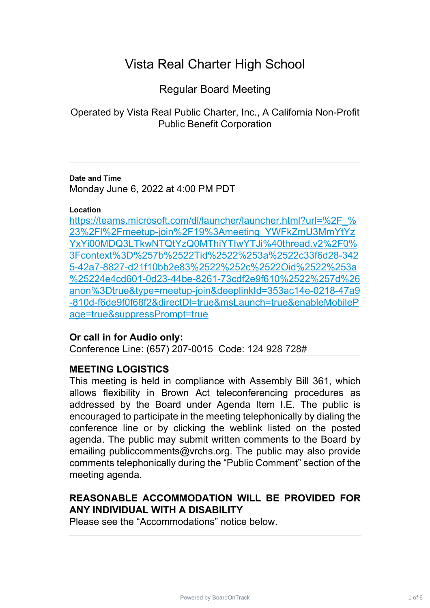# Vista Real Charter High School

Regular Board Meeting

Operated by Vista Real Public Charter, Inc., A California Non-Profit Public Benefit Corporation

#### **Date and Time** Monday June 6, 2022 at 4:00 PM PDT

### **Location**

[https://teams.microsoft.com/dl/launcher/launcher.html?url=%2F\\_%](https://teams.microsoft.com/dl/launcher/launcher.html?url=%2F_%23%2Fl%2Fmeetup-join%2F19%3Ameeting_YWFkZmU3MmYtYzYxYi00MDQ3LTkwNTQtYzQ0MThiYTIwYTJi%40thread.v2%2F0%3Fcontext%3D%257b%2522Tid%2522%253a%2522c33f6d28-3425-42a7-8827-d21f10bb2e83%2522%252c%2522Oid%2522%253a%25224e4cd601-0d23-44be-8261-73cdf2e9f610%2522%257d%26anon%3Dtrue&type=meetup-join&deeplinkId=353ac14e-0218-47a9-810d-f6de9f0f68f2&directDl=true&msLaunch=true&enableMobilePage=true&suppressPrompt=true) 23%2Fl%2Fmeetup-join%2F19%3Ameeting\_YWFkZmU3MmYtYz [YxYi00MDQ3LTkwNTQtYzQ0MThiYTIwYTJi%40thread.v2%2F0%](https://teams.microsoft.com/dl/launcher/launcher.html?url=%2F_%23%2Fl%2Fmeetup-join%2F19%3Ameeting_YWFkZmU3MmYtYzYxYi00MDQ3LTkwNTQtYzQ0MThiYTIwYTJi%40thread.v2%2F0%3Fcontext%3D%257b%2522Tid%2522%253a%2522c33f6d28-3425-42a7-8827-d21f10bb2e83%2522%252c%2522Oid%2522%253a%25224e4cd601-0d23-44be-8261-73cdf2e9f610%2522%257d%26anon%3Dtrue&type=meetup-join&deeplinkId=353ac14e-0218-47a9-810d-f6de9f0f68f2&directDl=true&msLaunch=true&enableMobilePage=true&suppressPrompt=true) 3Fcontext%3D%257b%2522Tid%2522%253a%2522c33f6d28-342 [5-42a7-8827-d21f10bb2e83%2522%252c%2522Oid%2522%253a](https://teams.microsoft.com/dl/launcher/launcher.html?url=%2F_%23%2Fl%2Fmeetup-join%2F19%3Ameeting_YWFkZmU3MmYtYzYxYi00MDQ3LTkwNTQtYzQ0MThiYTIwYTJi%40thread.v2%2F0%3Fcontext%3D%257b%2522Tid%2522%253a%2522c33f6d28-3425-42a7-8827-d21f10bb2e83%2522%252c%2522Oid%2522%253a%25224e4cd601-0d23-44be-8261-73cdf2e9f610%2522%257d%26anon%3Dtrue&type=meetup-join&deeplinkId=353ac14e-0218-47a9-810d-f6de9f0f68f2&directDl=true&msLaunch=true&enableMobilePage=true&suppressPrompt=true) %25224e4cd601-0d23-44be-8261-73cdf2e9f610%2522%257d%26 [anon%3Dtrue&type=meetup-join&deeplinkId=353ac14e-0218-47a9](https://teams.microsoft.com/dl/launcher/launcher.html?url=%2F_%23%2Fl%2Fmeetup-join%2F19%3Ameeting_YWFkZmU3MmYtYzYxYi00MDQ3LTkwNTQtYzQ0MThiYTIwYTJi%40thread.v2%2F0%3Fcontext%3D%257b%2522Tid%2522%253a%2522c33f6d28-3425-42a7-8827-d21f10bb2e83%2522%252c%2522Oid%2522%253a%25224e4cd601-0d23-44be-8261-73cdf2e9f610%2522%257d%26anon%3Dtrue&type=meetup-join&deeplinkId=353ac14e-0218-47a9-810d-f6de9f0f68f2&directDl=true&msLaunch=true&enableMobilePage=true&suppressPrompt=true) -810d-f6de9f0f68f2&directDl=true&msLaunch=true&enableMobileP [age=true&suppressPrompt=true](https://teams.microsoft.com/dl/launcher/launcher.html?url=%2F_%23%2Fl%2Fmeetup-join%2F19%3Ameeting_YWFkZmU3MmYtYzYxYi00MDQ3LTkwNTQtYzQ0MThiYTIwYTJi%40thread.v2%2F0%3Fcontext%3D%257b%2522Tid%2522%253a%2522c33f6d28-3425-42a7-8827-d21f10bb2e83%2522%252c%2522Oid%2522%253a%25224e4cd601-0d23-44be-8261-73cdf2e9f610%2522%257d%26anon%3Dtrue&type=meetup-join&deeplinkId=353ac14e-0218-47a9-810d-f6de9f0f68f2&directDl=true&msLaunch=true&enableMobilePage=true&suppressPrompt=true)

## **Or call in for Audio only:**

Conference Line: (657) 207-0015 Code: 124 928 728#

# **MEETING LOGISTICS**

This meeting is held in compliance with Assembly Bill 361, which allows flexibility in Brown Act teleconferencing procedures as addressed by the Board under Agenda Item I.E. The public is encouraged to participate in the meeting telephonically by dialing the conference line or by clicking the weblink listed on the posted agenda. The public may submit written comments to the Board by emailing publiccomments@vrchs.org. The public may also provide comments telephonically during the "Public Comment" section of the meeting agenda.

# **REASONABLE ACCOMMODATION WILL BE PROVIDED FOR ANY INDIVIDUAL WITH A DISABILITY**

Please see the "Accommodations" notice below.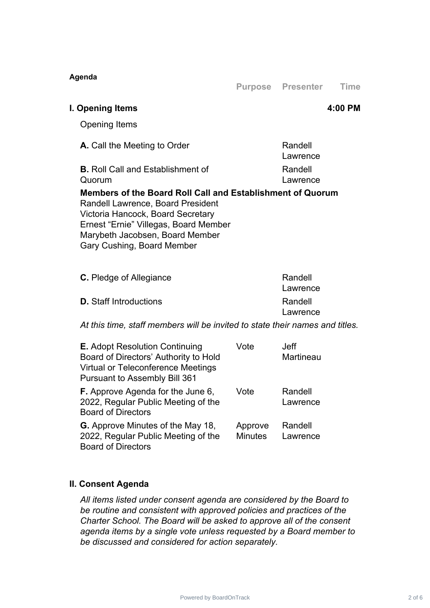| Agenda                                                                                                                                                                                                                                         |                           | <b>Purpose Presenter</b>        | <b>Time</b> |
|------------------------------------------------------------------------------------------------------------------------------------------------------------------------------------------------------------------------------------------------|---------------------------|---------------------------------|-------------|
| I. Opening Items                                                                                                                                                                                                                               |                           |                                 | 4:00 PM     |
| <b>Opening Items</b>                                                                                                                                                                                                                           |                           |                                 |             |
| A. Call the Meeting to Order                                                                                                                                                                                                                   |                           | Randell<br>Lawrence             |             |
| <b>B.</b> Roll Call and Establishment of<br>Quorum                                                                                                                                                                                             |                           | Randell<br>Lawrence             |             |
| Members of the Board Roll Call and Establishment of Quorum<br>Randell Lawrence, Board President<br>Victoria Hancock, Board Secretary<br>Ernest "Ernie" Villegas, Board Member<br>Marybeth Jacobsen, Board Member<br>Gary Cushing, Board Member |                           |                                 |             |
| <b>C.</b> Pledge of Allegiance                                                                                                                                                                                                                 |                           | Randell<br>Lawrence             |             |
| <b>D.</b> Staff Introductions                                                                                                                                                                                                                  |                           | Randell<br>Lawrence             |             |
| At this time, staff members will be invited to state their names and titles.                                                                                                                                                                   |                           |                                 |             |
| <b>E.</b> Adopt Resolution Continuing<br>Board of Directors' Authority to Hold<br>Virtual or Teleconference Meetings<br><b>Pursuant to Assembly Bill 361</b>                                                                                   | Vote                      | <b>Jeff</b><br><b>Martineau</b> |             |
| <b>F.</b> Approve Agenda for the June 6<br>2022, Regular Public Meeting of the<br><b>Board of Directors</b>                                                                                                                                    | Vote                      | Randell<br>Lawrence             |             |
| <b>G.</b> Approve Minutes of the May 18,<br>2022, Regular Public Meeting of the<br><b>Board of Directors</b>                                                                                                                                   | Approve<br><b>Minutes</b> | Randell<br>Lawrence             |             |

## **II. Consent Agenda**

*All items listed under consent agenda are considered by the Board to be routine and consistent with approved policies and practices of the Charter School. The Board will be asked to approve all of the consent agenda items by a single vote unless requested by a Board member to be discussed and considered for action separately.*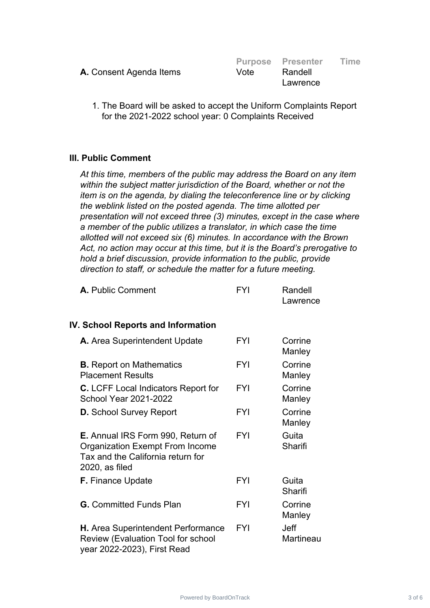|                                |      | <b>Purpose Presenter</b> | Time |
|--------------------------------|------|--------------------------|------|
| <b>A.</b> Consent Agenda Items | Vote | Randell                  |      |
|                                |      | Lawrence                 |      |

1. The Board will be asked to accept the Uniform Complaints Report for the 2021-2022 school year: 0 Complaints Received

## **III. Public Comment**

*At this time, members of the public may address the Board on any item within the subject matter jurisdiction of the Board, whether or not the item is on the agenda, by dialing the teleconference line or by clicking the weblink listed on the posted agenda. The time allotted per presentation will not exceed three (3) minutes, except in the case where a member of the public utilizes a translator, in which case the time allotted will not exceed six (6) minutes. In accordance with the Brown Act, no action may occur at this time, but it is the Board's prerogative to hold a brief discussion, provide information to the public, provide direction to staff, or schedule the matter for a future meeting.*

| A. Public Comment | FYI | Randell  |
|-------------------|-----|----------|
|                   |     | Lawrence |

### **IV. School Reports and Information**

| A. Area Superintendent Update                                                                                                      | <b>FYI</b> | Corrine<br>Manley        |
|------------------------------------------------------------------------------------------------------------------------------------|------------|--------------------------|
| <b>B.</b> Report on Mathematics<br><b>Placement Results</b>                                                                        | <b>FYI</b> | Corrine<br>Manley        |
| <b>C.</b> LCFF Local Indicators Report for<br><b>School Year 2021-2022</b>                                                         | <b>FYI</b> | Corrine<br>Manley        |
| <b>D.</b> School Survey Report                                                                                                     | <b>FYI</b> | Corrine<br>Manley        |
| E. Annual IRS Form 990, Return of<br><b>Organization Exempt From Income</b><br>Tax and the California return for<br>2020, as filed | <b>FYI</b> | Guita<br>Sharifi         |
| F. Finance Update                                                                                                                  | <b>FYI</b> | Guita<br>Sharifi         |
| <b>G.</b> Committed Funds Plan                                                                                                     | <b>FYI</b> | Corrine<br>Manley        |
| H. Area Superintendent Performance<br>Review (Evaluation Tool for school<br>year 2022-2023), First Read                            | <b>FYI</b> | <b>Jeff</b><br>Martineau |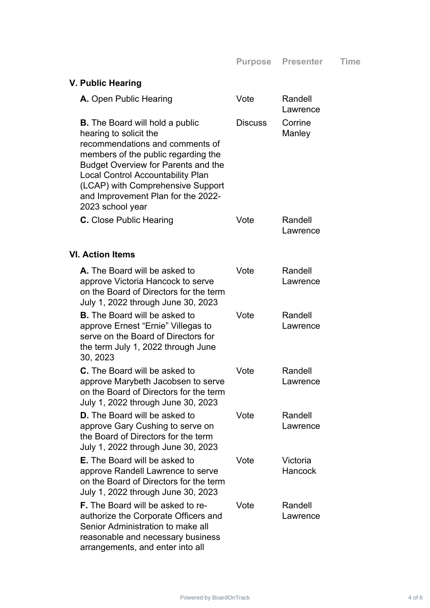| V. Public Hearing                                                                                                                                                                                                                                                                                                                   |                |                     |
|-------------------------------------------------------------------------------------------------------------------------------------------------------------------------------------------------------------------------------------------------------------------------------------------------------------------------------------|----------------|---------------------|
| A. Open Public Hearing                                                                                                                                                                                                                                                                                                              | Vote           | Randell<br>Lawrence |
| <b>B.</b> The Board will hold a public<br>hearing to solicit the<br>recommendations and comments of<br>members of the public regarding the<br><b>Budget Overview for Parents and the</b><br><b>Local Control Accountability Plan</b><br>(LCAP) with Comprehensive Support<br>and Improvement Plan for the 2022-<br>2023 school year | <b>Discuss</b> | Corrine<br>Manley   |
| C. Close Public Hearing                                                                                                                                                                                                                                                                                                             | Vote           | Randell<br>Lawrence |
| <b>VI. Action Items</b>                                                                                                                                                                                                                                                                                                             |                |                     |
| A. The Board will be asked to<br>approve Victoria Hancock to serve<br>on the Board of Directors for the term<br>July 1, 2022 through June 30, 2023                                                                                                                                                                                  | Vote           | Randell<br>Lawrence |
| <b>B.</b> The Board will be asked to<br>approve Ernest "Ernie" Villegas to<br>serve on the Board of Directors for<br>the term July 1, 2022 through June<br>30, 2023                                                                                                                                                                 | Vote           | Randell<br>Lawrence |
| <b>C.</b> The Board will be asked to<br>approve Marybeth Jacobsen to serve<br>on the Board of Directors for the term<br>July 1, 2022 through June 30, 2023                                                                                                                                                                          | Vote           | Randell<br>Lawrence |
| <b>D.</b> The Board will be asked to<br>approve Gary Cushing to serve on<br>the Board of Directors for the term<br>July 1, 2022 through June 30, 2023                                                                                                                                                                               | Vote           | Randell<br>Lawrence |
| <b>E.</b> The Board will be asked to<br>approve Randell Lawrence to serve<br>on the Board of Directors for the term<br>July 1, 2022 through June 30, 2023                                                                                                                                                                           | Vote           | Victoria<br>Hancock |
| <b>F.</b> The Board will be asked to re-<br>authorize the Corporate Officers and<br>Senior Administration to make all<br>reasonable and necessary business<br>arrangements, and enter into all                                                                                                                                      | Vote           | Randell<br>Lawrence |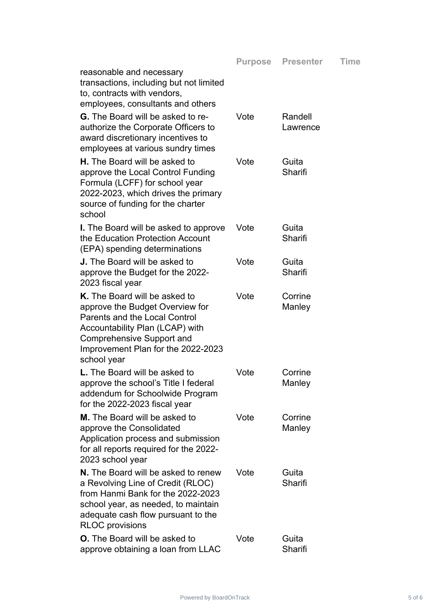| reasonable and necessary<br>transactions, including but not limited<br>to, contracts with vendors,<br>employees, consultants and others                                                                                              |      |                     |
|--------------------------------------------------------------------------------------------------------------------------------------------------------------------------------------------------------------------------------------|------|---------------------|
| <b>G.</b> The Board will be asked to re-<br>authorize the Corporate Officers to<br>award discretionary incentives to<br>employees at various sundry times                                                                            | Vote | Randell<br>Lawrence |
| <b>H.</b> The Board will be asked to<br>approve the Local Control Funding<br>Formula (LCFF) for school year<br>2022-2023, which drives the primary<br>source of funding for the charter<br>school                                    | Vote | Guita<br>Sharifi    |
| <b>I.</b> The Board will be asked to approve<br>the Education Protection Account<br>(EPA) spending determinations                                                                                                                    | Vote | Guita<br>Sharifi    |
| <b>J.</b> The Board will be asked to<br>approve the Budget for the 2022-<br>2023 fiscal year                                                                                                                                         | Vote | Guita<br>Sharifi    |
| K. The Board will be asked to<br>approve the Budget Overview for<br><b>Parents and the Local Control</b><br>Accountability Plan (LCAP) with<br><b>Comprehensive Support and</b><br>Improvement Plan for the 2022-2023<br>school year | Vote | Corrine<br>Manley   |
| <b>L.</b> The Board will be asked to<br>approve the school's Title I federal<br>addendum for Schoolwide Program<br>for the 2022-2023 fiscal year                                                                                     | Vote | Corrine<br>Manley   |
| <b>M.</b> The Board will be asked to<br>approve the Consolidated<br>Application process and submission<br>for all reports required for the 2022-<br>2023 school year                                                                 | Vote | Corrine<br>Manley   |
| N. The Board will be asked to renew<br>a Revolving Line of Credit (RLOC)<br>from Hanmi Bank for the 2022-2023<br>school year, as needed, to maintain<br>adequate cash flow pursuant to the<br><b>RLOC</b> provisions                 | Vote | Guita<br>Sharifi    |
| <b>O.</b> The Board will be asked to<br>approve obtaining a loan from LLAC                                                                                                                                                           | Vote | Guita<br>Sharifi    |